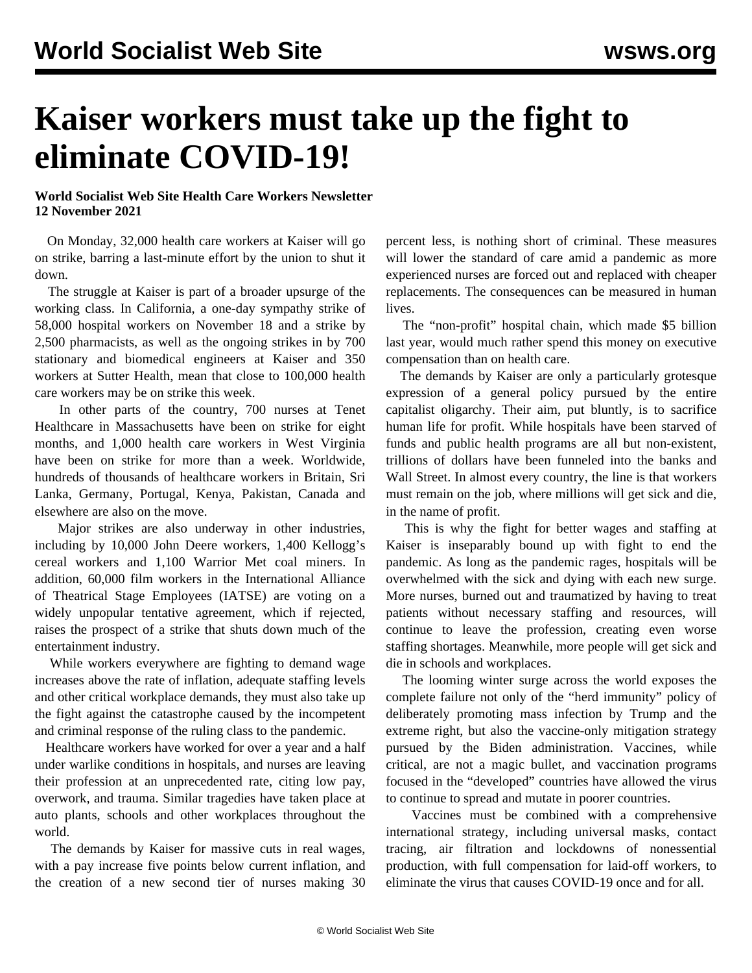## **Kaiser workers must take up the fight to eliminate COVID-19!**

## **World Socialist Web Site Health Care Workers Newsletter 12 November 2021**

 On Monday, 32,000 health care workers at Kaiser will go on strike, barring a last-minute effort by the union to shut it down.

 The struggle at Kaiser is part of a broader upsurge of the working class. In California, a [one-day sympathy strike of](/en/articles/2021/11/11/7c56-n11.html) [58,000 hospital workers](/en/articles/2021/11/11/7c56-n11.html) on November 18 and a strike by 2,500 pharmacists, as well as the ongoing strikes in by 700 stationary and biomedical engineers at Kaiser and 350 workers at Sutter Health, mean that close to 100,000 health care workers may be on strike this week.

 In other parts of the country, 700 nurses at Tenet Healthcare in Massachusetts have been on strike for eight months, and 1,000 health care workers in West Virginia have been on strike for more than a week. Worldwide, hundreds of thousands of healthcare workers in Britain, Sri Lanka, Germany, Portugal, Kenya, Pakistan, Canada and elsewhere are also on the move.

 Major strikes are also underway in other industries, including by 10,000 John Deere workers, 1,400 Kellogg's cereal workers and 1,100 Warrior Met coal miners. In addition, 60,000 film workers in the International Alliance of Theatrical Stage Employees (IATSE) are voting on a widely unpopular tentative agreement, which if rejected, raises the prospect of a strike that shuts down much of the entertainment industry.

 While workers everywhere are fighting to demand wage increases above the rate of inflation, adequate staffing levels and other critical workplace demands, they must also take up the fight against the catastrophe caused by the incompetent and criminal response of the ruling class to the pandemic.

 Healthcare workers have worked for over a year and a half under warlike conditions in hospitals, and nurses are leaving their profession at an unprecedented rate, citing low pay, overwork, and trauma. Similar tragedies have taken place at auto plants, schools and other workplaces throughout the world.

 The demands by Kaiser for massive cuts in real wages, with a pay increase five points below current inflation, and the creation of a new second tier of nurses making 30 percent less, is nothing short of criminal. These measures will lower the standard of care amid a pandemic as more experienced nurses are forced out and replaced with cheaper replacements. The consequences can be measured in human lives.

 The "non-profit" hospital chain, which made \$5 billion last year, would much rather spend this money on executive compensation than on health care.

 The demands by Kaiser are only a particularly grotesque expression of a general policy pursued by the entire capitalist oligarchy. Their aim, put bluntly, is to sacrifice human life for profit. While hospitals have been starved of funds and public health programs are all but non-existent, trillions of dollars have been funneled into the banks and Wall Street. In almost every country, the line is that workers must remain on the job, where millions will get sick and die, in the name of profit.

 This is why the fight for better wages and staffing at Kaiser is inseparably bound up with fight to end the pandemic. As long as the pandemic rages, hospitals will be overwhelmed with the sick and dying with each new surge. More nurses, burned out and traumatized by having to treat patients without necessary staffing and resources, will continue to leave the profession, creating even worse staffing shortages. Meanwhile, more people will get sick and die in schools and workplaces.

 The looming winter surge across the world exposes the complete failure not only of the "herd immunity" policy of deliberately promoting mass infection by Trump and the extreme right, but also the vaccine-only mitigation strategy pursued by the Biden administration. Vaccines, while critical, are not a magic bullet, and vaccination programs focused in the "developed" countries have allowed the virus to continue to spread and mutate in poorer countries.

 Vaccines must be combined with a comprehensive international strategy, including universal masks, contact tracing, air filtration and lockdowns of nonessential production, with full compensation for laid-off workers, to eliminate the virus that causes COVID-19 once and for all.